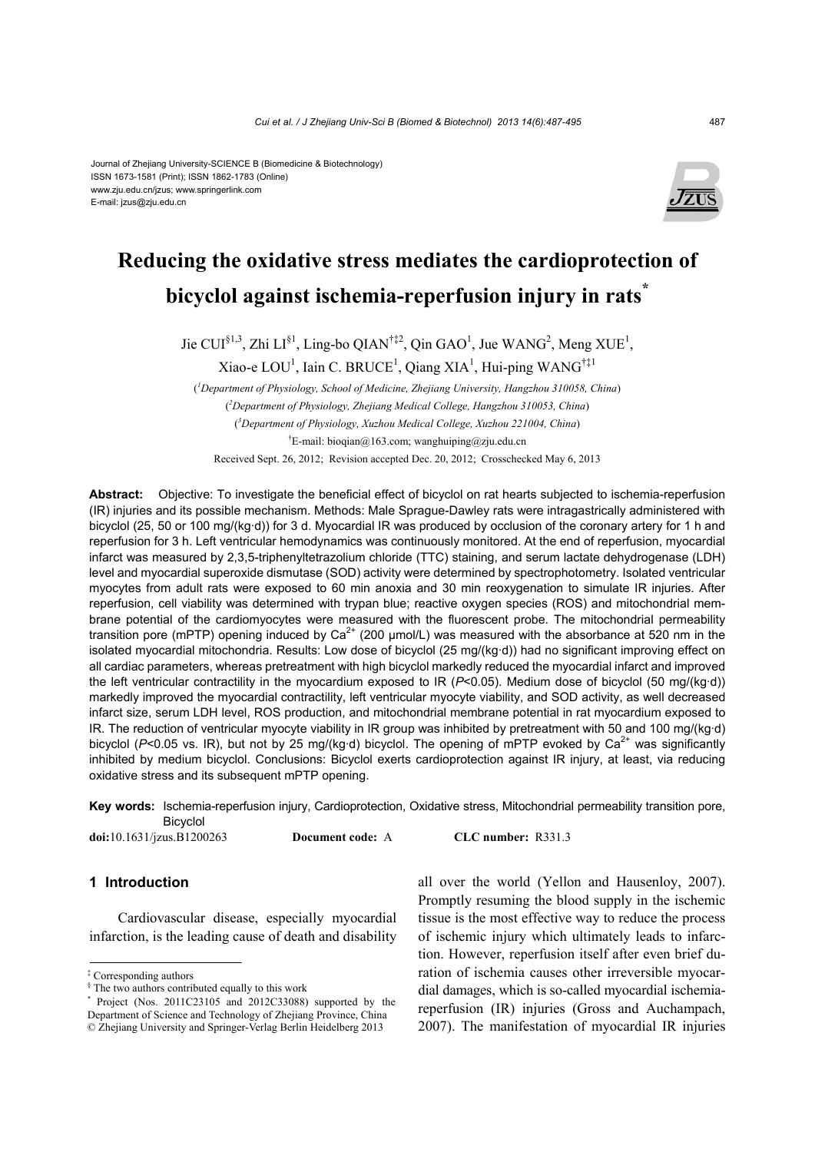#### Journal of Zhejiang University-SCIENCE B (Biomedicine & Biotechnology) ISSN 1673-1581 (Print); ISSN 1862-1783 (Online) www.zju.edu.cn/jzus; www.springerlink.com E-mail: jzus@zju.edu.cn



# **Reducing the oxidative stress mediates the cardioprotection of bicyclol against ischemia-reperfusion injury in rats\***

Jie CUI<sup>§1,3</sup>, Zhi LI<sup>§1</sup>, Ling-bo QIAN<sup>†‡2</sup>, Qin GAO<sup>1</sup>, Jue WANG<sup>2</sup>, Meng XUE<sup>1</sup>,

Xiao-e LOU<sup>1</sup>, Iain C. BRUCE<sup>1</sup>, Qiang XIA<sup>1</sup>, Hui-ping WANG<sup>†‡1</sup>

( *1 Department of Physiology, School of Medicine, Zhejiang University, Hangzhou 310058, China*) ( *2 Department of Physiology, Zhejiang Medical College, Hangzhou 310053, China*) ( *3 Department of Physiology, Xuzhou Medical College, Xuzhou 221004, China*) † E-mail: bioqian@163.com; wanghuiping@zju.edu.cn Received Sept. 26, 2012; Revision accepted Dec. 20, 2012; Crosschecked May 6, 2013

**Abstract:** Objective: To investigate the beneficial effect of bicyclol on rat hearts subjected to ischemia-reperfusion (IR) injuries and its possible mechanism. Methods: Male Sprague-Dawley rats were intragastrically administered with bicyclol (25, 50 or 100 mg/(kg·d)) for 3 d. Myocardial IR was produced by occlusion of the coronary artery for 1 h and reperfusion for 3 h. Left ventricular hemodynamics was continuously monitored. At the end of reperfusion, myocardial infarct was measured by 2,3,5-triphenyltetrazolium chloride (TTC) staining, and serum lactate dehydrogenase (LDH) level and myocardial superoxide dismutase (SOD) activity were determined by spectrophotometry. Isolated ventricular myocytes from adult rats were exposed to 60 min anoxia and 30 min reoxygenation to simulate IR injuries. After reperfusion, cell viability was determined with trypan blue; reactive oxygen species (ROS) and mitochondrial membrane potential of the cardiomyocytes were measured with the fluorescent probe. The mitochondrial permeability transition pore (mPTP) opening induced by Ca<sup>2+</sup> (200  $\mu$ mol/L) was measured with the absorbance at 520 nm in the isolated myocardial mitochondria. Results: Low dose of bicyclol (25 mg/(kg·d)) had no significant improving effect on all cardiac parameters, whereas pretreatment with high bicyclol markedly reduced the myocardial infarct and improved the left ventricular contractility in the myocardium exposed to IR (*P*<0.05). Medium dose of bicyclol (50 mg/(kg·d)) markedly improved the myocardial contractility, left ventricular myocyte viability, and SOD activity, as well decreased infarct size, serum LDH level, ROS production, and mitochondrial membrane potential in rat myocardium exposed to IR. The reduction of ventricular myocyte viability in IR group was inhibited by pretreatment with 50 and 100 mg/(kg·d) bicyclol (P<0.05 vs. IR), but not by 25 mg/(kg·d) bicyclol. The opening of mPTP evoked by Ca<sup>2+</sup> was significantly inhibited by medium bicyclol. Conclusions: Bicyclol exerts cardioprotection against IR injury, at least, via reducing oxidative stress and its subsequent mPTP opening.

**Key words:** Ischemia-reperfusion injury, Cardioprotection, Oxidative stress, Mitochondrial permeability transition pore, Bicyclol

**doi:**10.1631/jzus.B1200263 **Document code:** A **CLC number:** R331.3

# **1 Introduction**

Cardiovascular disease, especially myocardial infarction, is the leading cause of death and disability

all over the world (Yellon and Hausenloy, 2007). Promptly resuming the blood supply in the ischemic tissue is the most effective way to reduce the process of ischemic injury which ultimately leads to infarction. However, reperfusion itself after even brief duration of ischemia causes other irreversible myocardial damages, which is so-called myocardial ischemiareperfusion (IR) injuries (Gross and Auchampach, 2007). The manifestation of myocardial IR injuries

<sup>‡</sup> Corresponding authors

<sup>§</sup> The two authors contributed equally to this work

<sup>\*</sup> Project (Nos. 2011C23105 and 2012C33088) supported by the Department of Science and Technology of Zhejiang Province, China © Zhejiang University and Springer-Verlag Berlin Heidelberg 2013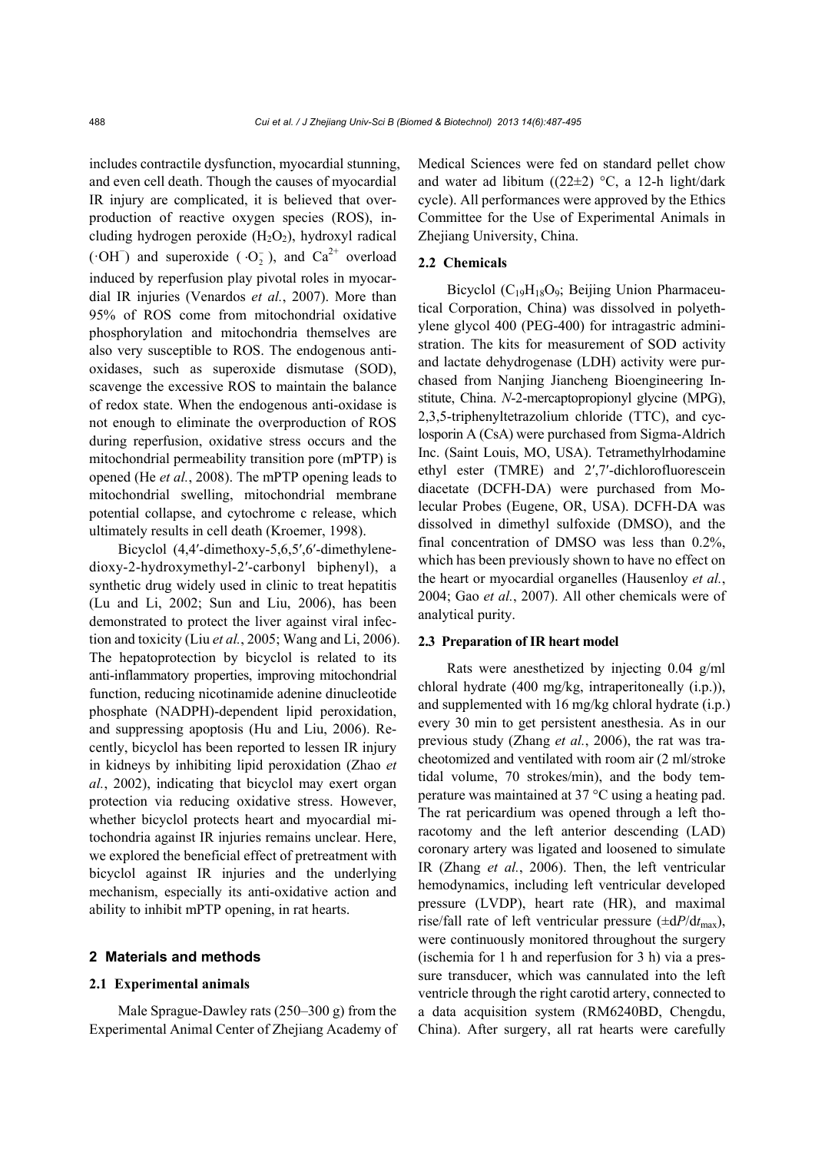includes contractile dysfunction, myocardial stunning, and even cell death. Though the causes of myocardial IR injury are complicated, it is believed that overproduction of reactive oxygen species (ROS), including hydrogen peroxide  $(H_2O_2)$ , hydroxyl radical ( $\cdot$ OH<sup>-</sup>) and superoxide ( $\cdot$ O<sub>2</sub>), and Ca<sup>2+</sup> overload induced by reperfusion play pivotal roles in myocardial IR injuries (Venardos *et al.*, 2007). More than 95% of ROS come from mitochondrial oxidative phosphorylation and mitochondria themselves are also very susceptible to ROS. The endogenous antioxidases, such as superoxide dismutase (SOD), scavenge the excessive ROS to maintain the balance of redox state. When the endogenous anti-oxidase is not enough to eliminate the overproduction of ROS during reperfusion, oxidative stress occurs and the mitochondrial permeability transition pore (mPTP) is opened (He *et al.*, 2008). The mPTP opening leads to mitochondrial swelling, mitochondrial membrane potential collapse, and cytochrome c release, which ultimately results in cell death (Kroemer, 1998).

Bicyclol (4,4′-dimethoxy-5,6,5′,6′-dimethylenedioxy-2-hydroxymethyl-2′-carbonyl biphenyl), a synthetic drug widely used in clinic to treat hepatitis (Lu and Li, 2002; Sun and Liu, 2006), has been demonstrated to protect the liver against viral infection and toxicity (Liu *et al.*, 2005; Wang and Li, 2006). The hepatoprotection by bicyclol is related to its anti-inflammatory properties, improving mitochondrial function, reducing nicotinamide adenine dinucleotide phosphate (NADPH)-dependent lipid peroxidation, and suppressing apoptosis (Hu and Liu, 2006). Recently, bicyclol has been reported to lessen IR injury in kidneys by inhibiting lipid peroxidation (Zhao *et al.*, 2002), indicating that bicyclol may exert organ protection via reducing oxidative stress. However, whether bicyclol protects heart and myocardial mitochondria against IR injuries remains unclear. Here, we explored the beneficial effect of pretreatment with bicyclol against IR injuries and the underlying mechanism, especially its anti-oxidative action and ability to inhibit mPTP opening, in rat hearts.

## **2 Materials and methods**

## **2.1 Experimental animals**

Male Sprague-Dawley rats  $(250-300 \text{ g})$  from the Experimental Animal Center of Zhejiang Academy of Medical Sciences were fed on standard pellet chow and water ad libitum ( $(22\pm2)$  °C, a 12-h light/dark cycle). All performances were approved by the Ethics Committee for the Use of Experimental Animals in Zhejiang University, China.

# **2.2 Chemicals**

Bicyclol  $(C_{19}H_{18}O_9;$  Beijing Union Pharmaceutical Corporation, China) was dissolved in polyethylene glycol 400 (PEG-400) for intragastric administration. The kits for measurement of SOD activity and lactate dehydrogenase (LDH) activity were purchased from Nanjing Jiancheng Bioengineering Institute, China. *N*-2-mercaptopropionyl glycine (MPG), 2,3,5-triphenyltetrazolium chloride (TTC), and cyclosporin A (CsA) were purchased from Sigma-Aldrich Inc. (Saint Louis, MO, USA). Tetramethylrhodamine ethyl ester (TMRE) and 2′,7′-dichlorofluorescein diacetate (DCFH-DA) were purchased from Molecular Probes (Eugene, OR, USA). DCFH-DA was dissolved in dimethyl sulfoxide (DMSO), and the final concentration of DMSO was less than 0.2%, which has been previously shown to have no effect on the heart or myocardial organelles (Hausenloy *et al.*, 2004; Gao *et al.*, 2007). All other chemicals were of analytical purity.

## **2.3 Preparation of IR heart model**

Rats were anesthetized by injecting 0.04 g/ml chloral hydrate (400 mg/kg, intraperitoneally (i.p.)), and supplemented with 16 mg/kg chloral hydrate (i.p.) every 30 min to get persistent anesthesia. As in our previous study (Zhang *et al.*, 2006), the rat was tracheotomized and ventilated with room air (2 ml/stroke tidal volume, 70 strokes/min), and the body temperature was maintained at 37 °C using a heating pad. The rat pericardium was opened through a left thoracotomy and the left anterior descending (LAD) coronary artery was ligated and loosened to simulate IR (Zhang *et al.*, 2006). Then, the left ventricular hemodynamics, including left ventricular developed pressure (LVDP), heart rate (HR), and maximal rise/fall rate of left ventricular pressure  $(\pm dP/dt_{\text{max}})$ , were continuously monitored throughout the surgery (ischemia for 1 h and reperfusion for 3 h) via a pressure transducer, which was cannulated into the left ventricle through the right carotid artery, connected to a data acquisition system (RM6240BD, Chengdu, China). After surgery, all rat hearts were carefully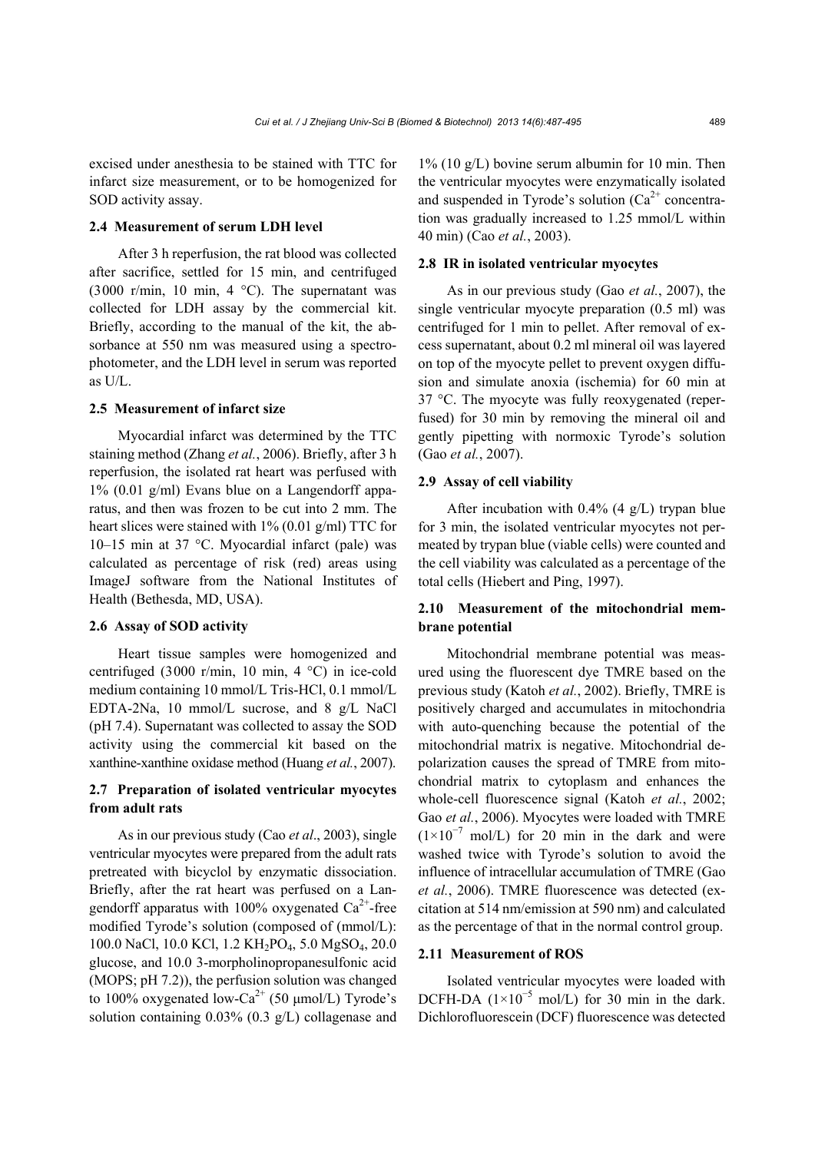excised under anesthesia to be stained with TTC for infarct size measurement, or to be homogenized for SOD activity assay.

## **2.4 Measurement of serum LDH level**

After 3 h reperfusion, the rat blood was collected after sacrifice, settled for 15 min, and centrifuged (3000 r/min, 10 min, 4  $^{\circ}$ C). The supernatant was collected for LDH assay by the commercial kit. Briefly, according to the manual of the kit, the absorbance at 550 nm was measured using a spectrophotometer, and the LDH level in serum was reported as U/L.

#### **2.5 Measurement of infarct size**

Myocardial infarct was determined by the TTC staining method (Zhang *et al.*, 2006). Briefly, after 3 h reperfusion, the isolated rat heart was perfused with 1% (0.01 g/ml) Evans blue on a Langendorff apparatus, and then was frozen to be cut into 2 mm. The heart slices were stained with 1% (0.01 g/ml) TTC for 10–15 min at 37 °C. Myocardial infarct (pale) was calculated as percentage of risk (red) areas using ImageJ software from the National Institutes of Health (Bethesda, MD, USA).

# **2.6 Assay of SOD activity**

Heart tissue samples were homogenized and centrifuged (3000 r/min, 10 min, 4 °C) in ice-cold medium containing 10 mmol/L Tris-HCl, 0.1 mmol/L EDTA-2Na, 10 mmol/L sucrose, and 8 g/L NaCl (pH 7.4). Supernatant was collected to assay the SOD activity using the commercial kit based on the xanthine-xanthine oxidase method (Huang *et al.*, 2007).

## **2.7 Preparation of isolated ventricular myocytes from adult rats**

As in our previous study (Cao *et al*., 2003), single ventricular myocytes were prepared from the adult rats pretreated with bicyclol by enzymatic dissociation. Briefly, after the rat heart was perfused on a Langendorff apparatus with 100% oxygenated  $Ca^{2+}$ -free modified Tyrode's solution (composed of (mmol/L): 100.0 NaCl, 10.0 KCl, 1.2 KH2PO4, 5.0 MgSO4, 20.0 glucose, and 10.0 3-morpholinopropanesulfonic acid (MOPS; pH 7.2)), the perfusion solution was changed to 100% oxygenated low-Ca<sup>2+</sup> (50 μmol/L) Tyrode's solution containing 0.03% (0.3 g/L) collagenase and 1% (10 g/L) bovine serum albumin for 10 min. Then the ventricular myocytes were enzymatically isolated and suspended in Tyrode's solution  $(Ca^{2+})$  concentration was gradually increased to 1.25 mmol/L within 40 min) (Cao *et al.*, 2003).

## **2.8 IR in isolated ventricular myocytes**

As in our previous study (Gao *et al.*, 2007), the single ventricular myocyte preparation (0.5 ml) was centrifuged for 1 min to pellet. After removal of excess supernatant, about 0.2 ml mineral oil was layered on top of the myocyte pellet to prevent oxygen diffusion and simulate anoxia (ischemia) for 60 min at 37 °C. The myocyte was fully reoxygenated (reperfused) for 30 min by removing the mineral oil and gently pipetting with normoxic Tyrode's solution (Gao *et al.*, 2007).

#### **2.9 Assay of cell viability**

After incubation with  $0.4\%$  (4 g/L) trypan blue for 3 min, the isolated ventricular myocytes not permeated by trypan blue (viable cells) were counted and the cell viability was calculated as a percentage of the total cells (Hiebert and Ping, 1997).

## **2.10 Measurement of the mitochondrial membrane potential**

Mitochondrial membrane potential was measured using the fluorescent dye TMRE based on the previous study (Katoh *et al.*, 2002). Briefly, TMRE is positively charged and accumulates in mitochondria with auto-quenching because the potential of the mitochondrial matrix is negative. Mitochondrial depolarization causes the spread of TMRE from mitochondrial matrix to cytoplasm and enhances the whole-cell fluorescence signal (Katoh *et al.*, 2002; Gao *et al.*, 2006). Myocytes were loaded with TMRE  $(1\times10^{-7}$  mol/L) for 20 min in the dark and were washed twice with Tyrode's solution to avoid the influence of intracellular accumulation of TMRE (Gao *et al.*, 2006). TMRE fluorescence was detected (excitation at 514 nm/emission at 590 nm) and calculated as the percentage of that in the normal control group.

## **2.11 Measurement of ROS**

Isolated ventricular myocytes were loaded with DCFH-DA  $(1\times10^{-5} \text{ mol/L})$  for 30 min in the dark. Dichlorofluorescein (DCF) fluorescence was detected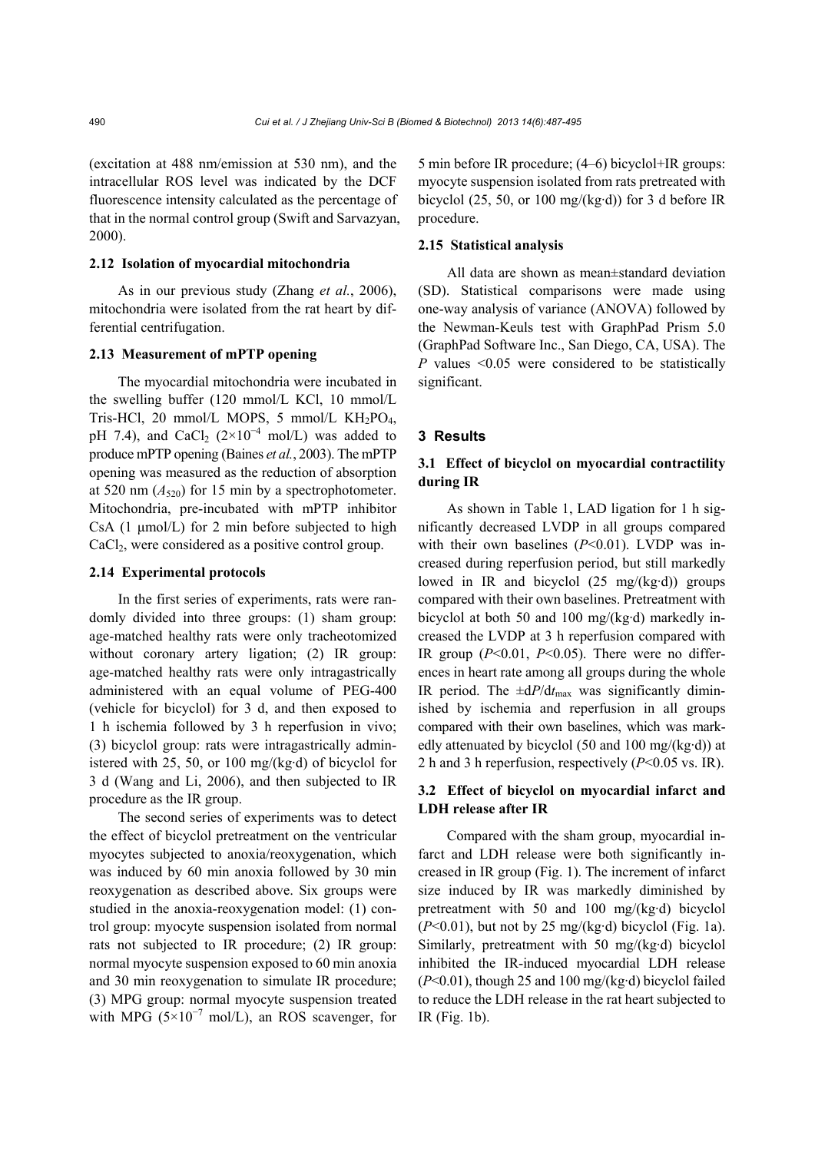(excitation at 488 nm/emission at 530 nm), and the intracellular ROS level was indicated by the DCF fluorescence intensity calculated as the percentage of that in the normal control group (Swift and Sarvazyan, 2000).

## **2.12 Isolation of myocardial mitochondria**

As in our previous study (Zhang *et al.*, 2006), mitochondria were isolated from the rat heart by differential centrifugation.

## **2.13 Measurement of mPTP opening**

The myocardial mitochondria were incubated in the swelling buffer (120 mmol/L KCl, 10 mmol/L Tris-HCl, 20 mmol/L MOPS, 5 mmol/L  $KH_2PO_4$ , pH 7.4), and CaCl<sub>2</sub> ( $2\times10^{-4}$  mol/L) was added to produce mPTP opening (Baines *et al.*, 2003). The mPTP opening was measured as the reduction of absorption at 520 nm  $(A_{520})$  for 15 min by a spectrophotometer. Mitochondria, pre-incubated with mPTP inhibitor CsA (1 μmol/L) for 2 min before subjected to high CaCl<sub>2</sub>, were considered as a positive control group.

#### **2.14 Experimental protocols**

In the first series of experiments, rats were randomly divided into three groups: (1) sham group: age-matched healthy rats were only tracheotomized without coronary artery ligation; (2) IR group: age-matched healthy rats were only intragastrically administered with an equal volume of PEG-400 (vehicle for bicyclol) for 3 d, and then exposed to 1 h ischemia followed by 3 h reperfusion in vivo; (3) bicyclol group: rats were intragastrically administered with 25, 50, or 100 mg/(kg·d) of bicyclol for 3 d (Wang and Li, 2006), and then subjected to IR procedure as the IR group.

The second series of experiments was to detect the effect of bicyclol pretreatment on the ventricular myocytes subjected to anoxia/reoxygenation, which was induced by 60 min anoxia followed by 30 min reoxygenation as described above. Six groups were studied in the anoxia-reoxygenation model: (1) control group: myocyte suspension isolated from normal rats not subjected to IR procedure; (2) IR group: normal myocyte suspension exposed to 60 min anoxia and 30 min reoxygenation to simulate IR procedure; (3) MPG group: normal myocyte suspension treated with MPG ( $5\times10^{-7}$  mol/L), an ROS scavenger, for 5 min before IR procedure; (4‒6) bicyclol+IR groups: myocyte suspension isolated from rats pretreated with bicyclol  $(25, 50, or 100 \text{ mg/(kg \cdot d)})$  for 3 d before IR procedure.

## **2.15 Statistical analysis**

All data are shown as mean±standard deviation (SD). Statistical comparisons were made using one-way analysis of variance (ANOVA) followed by the Newman-Keuls test with GraphPad Prism 5.0 (GraphPad Software Inc., San Diego, CA, USA). The *P* values <0.05 were considered to be statistically significant.

#### **3 Results**

## **3.1 Effect of bicyclol on myocardial contractility during IR**

As shown in Table 1, LAD ligation for 1 h significantly decreased LVDP in all groups compared with their own baselines ( $P<0.01$ ). LVDP was increased during reperfusion period, but still markedly lowed in IR and bicyclol  $(25 \text{ mg/(kg \cdot d)})$  groups compared with their own baselines. Pretreatment with bicyclol at both 50 and 100 mg/(kg·d) markedly increased the LVDP at 3 h reperfusion compared with IR group  $(P<0.01, P<0.05)$ . There were no differences in heart rate among all groups during the whole IR period. The  $\pm dP/dt_{\text{max}}$  was significantly diminished by ischemia and reperfusion in all groups compared with their own baselines, which was markedly attenuated by bicyclol (50 and 100 mg/(kg·d)) at 2 h and 3 h reperfusion, respectively (*P*<0.05 vs. IR).

## **3.2 Effect of bicyclol on myocardial infarct and LDH release after IR**

Compared with the sham group, myocardial infarct and LDH release were both significantly increased in IR group (Fig. 1). The increment of infarct size induced by IR was markedly diminished by pretreatment with 50 and 100 mg/(kg·d) bicyclol  $(P<0.01)$ , but not by 25 mg/(kg·d) bicyclol (Fig. 1a). Similarly, pretreatment with 50 mg/(kg·d) bicyclol inhibited the IR-induced myocardial LDH release (*P*<0.01), though 25 and 100 mg/(kg·d) bicyclol failed to reduce the LDH release in the rat heart subjected to IR (Fig. 1b).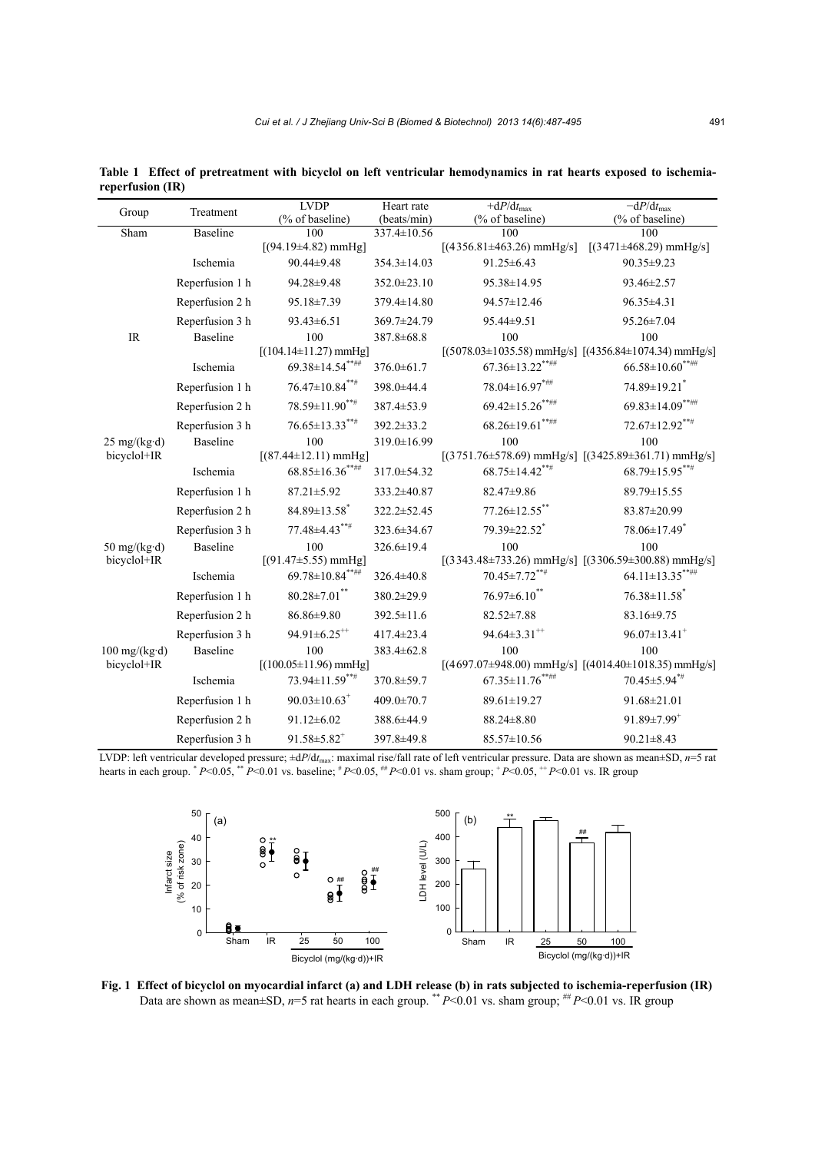| Group                        | Treatment       | <b>LVDP</b>                                         | Heart rate        | $+dP/dt_{\text{max}}$                                                                                     | $-dP/dt_{\text{max}}$                       |
|------------------------------|-----------------|-----------------------------------------------------|-------------------|-----------------------------------------------------------------------------------------------------------|---------------------------------------------|
|                              |                 | (% of baseline)                                     | (beats/min)       | (% of baseline)                                                                                           | (% of baseline)                             |
| Sham                         | <b>Baseline</b> | 100<br>$[(94.19 \pm 4.82)$ mmHg]                    | 337.4±10.56       | 100<br>$[(4356.81 \pm 463.26) \text{ mmHg/s}]$                                                            | 100<br>$[(3471 \pm 468.29) \text{ mmHg/s}]$ |
|                              | Ischemia        | 90.44±9.48                                          | $354.3 \pm 14.03$ | 91.25 ± 6.43                                                                                              | 90.35±9.23                                  |
|                              | Reperfusion 1 h | 94.28±9.48                                          | $352.0 \pm 23.10$ | 95.38±14.95                                                                                               | 93.46±2.57                                  |
|                              |                 |                                                     |                   |                                                                                                           |                                             |
|                              | Reperfusion 2 h | 95.18±7.39                                          | 379.4±14.80       | 94.57±12.46                                                                                               | 96.35±4.31                                  |
|                              | Reperfusion 3 h | 93.43±6.51                                          | 369.7±24.79       | 95.44±9.51                                                                                                | 95.26±7.04                                  |
| IR                           | Baseline        | 100                                                 | 387.8 ± 68.8      | 100                                                                                                       | 100                                         |
|                              | Ischemia        | $[(104.14 \pm 11.27)$ mmHg]<br>$69.38 \pm 14.54***$ | 376.0±61.7        | $[(5078.03 \pm 1035.58) \text{ mmHg/s}]$ $[(4356.84 \pm 1074.34) \text{ mmHg/s}]$<br>$67.36 \pm 13.22***$ | $66.58 {\pm} 10.60^{***}$                   |
|                              |                 |                                                     |                   |                                                                                                           |                                             |
|                              | Reperfusion 1 h | $76.47 \pm 10.84^{***}$                             | 398.0±44.4        | $78.04 \pm 16.97^{***}$                                                                                   | 74.89±19.21 <sup>*</sup>                    |
|                              | Reperfusion 2 h | $78.59 \pm 11.90^{***}$                             | 387.4±53.9        | $69.42 \pm 15.26$ *****                                                                                   | $69.83 \pm 14.09$ *****                     |
|                              | Reperfusion 3 h | $76.65 \pm 13.33***$                                | $392.2 \pm 33.2$  | $68.26 \pm 19.61$ *****                                                                                   | $72.67 \pm 12.92$ ***                       |
| $25 \text{ mg/(kg \cdot d)}$ | Baseline        | 100                                                 | 319.0±16.99       | 100                                                                                                       | 100                                         |
| bicyclol+IR                  |                 | $[(87.44 \pm 12.11)$ mmHg]                          |                   | $[(3751.76 \pm 578.69) \text{ mmHg/s}]$ $[(3425.89 \pm 361.71) \text{ mmHg/s}]$                           |                                             |
|                              | Ischemia        | $68.85 \pm 16.36$ *****                             | 317.0 ± 54.32     | $68.75 \pm 14.42***$                                                                                      | $68.79 \pm 15.95***$                        |
|                              | Reperfusion 1 h | 87.21±5.92                                          | 333.2±40.87       | 82.47±9.86                                                                                                | 89.79±15.55                                 |
|                              | Reperfusion 2 h | $84.89 \pm 13.58$ <sup>*</sup>                      | 322.2±52.45       | 77.26±12.55**                                                                                             | 83.87±20.99                                 |
|                              | Reperfusion 3 h | $77.48 \pm 4.43***$                                 | 323.6±34.67       | 79.39±22.52 <sup>*</sup>                                                                                  | 78.06±17.49*                                |
| 50 mg/( $kg \cdot d$ )       | Baseline        | 100                                                 | 326.6±19.4        | 100                                                                                                       | 100                                         |
| bicyclol+IR                  |                 | $[(91.47 \pm 5.55)$ mmHg]                           |                   | $[(3343.48 \pm 733.26) \text{ mmHg/s}]$ $[(3306.59 \pm 300.88) \text{ mmHg/s}]$                           |                                             |
|                              | Ischemia        | $69.78 \pm 10.84$ *****                             | 326.4±40.8        | $70.45 \pm 7.72^{***}$                                                                                    | $64.11 \pm 13.35$ ******                    |
|                              | Reperfusion 1 h | $80.28 \pm 7.01$ **                                 | 380.2±29.9        | $76.97\pm6.10$ **                                                                                         | $76.38 \pm 11.58$ <sup>*</sup>              |
|                              | Reperfusion 2 h | $86.86 \pm 9.80$                                    | $392.5 \pm 11.6$  | $82.52 \pm 7.88$                                                                                          | $83.16 \pm 9.75$                            |
|                              | Reperfusion 3 h | $94.91 \pm 6.25$ <sup>**</sup>                      | $417.4 \pm 23.4$  | $94.64 \pm 3.31^{++}$                                                                                     | $96.07 \pm 13.41$ <sup>+</sup>              |
| $100$ mg/(kg·d)              | <b>Baseline</b> | 100                                                 | 383.4±62.8        | 100                                                                                                       | 100                                         |
| bicyclol+IR                  |                 | $[(100.05 \pm 11.96)$ mmHg]                         |                   | $[(4697.07\pm948.00)$ mmHg/s] $[(4014.40\pm1018.35)$ mmHg/s]                                              |                                             |
|                              | Ischemia        | $73.94 \pm 11.59***$                                | 370.8±59.7        | $67.35 \pm 11.76***$                                                                                      | 70.45±5.94*#                                |
|                              | Reperfusion 1 h | $90.03 \pm 10.63$ <sup>+</sup>                      | $409.0 \pm 70.7$  | 89.61±19.27                                                                                               | 91.68±21.01                                 |
|                              | Reperfusion 2 h | $91.12 \pm 6.02$                                    | 388.6±44.9        | $88.24 \pm 8.80$                                                                                          | $91.89 \pm 7.99^{+}$                        |
|                              | Reperfusion 3 h | $91.58 \pm 5.82$ <sup>+</sup>                       | 397.8±49.8        | 85.57±10.56                                                                                               | $90.21 \pm 8.43$                            |

**Table 1 Effect of pretreatment with bicyclol on left ventricular hemodynamics in rat hearts exposed to ischemiareperfusion (IR)**

LVDP: left ventricular developed pressure;  $\pm dP/dt_{\text{max}}$ : maximal rise/fall rate of left ventricular pressure. Data are shown as mean $\pm SD$ , *n*=5 rat hearts in each group. \*  *P*<0.05, \*\* *P*<0.01 vs. baseline; # *P*<0.05, ## *P*<0.01 vs. sham group; + *P*<0.05, ++ *P*<0.01 vs. IR group



**Fig. 1 Effect of bicyclol on myocardial infarct (a) and LDH release (b) in rats subjected to ischemia-reperfusion (IR)** Data are shown as mean±SD,  $n=5$  rat hearts in each group. \*\*  $P<0.01$  vs. sham group;  $H P<0.01$  vs. IR group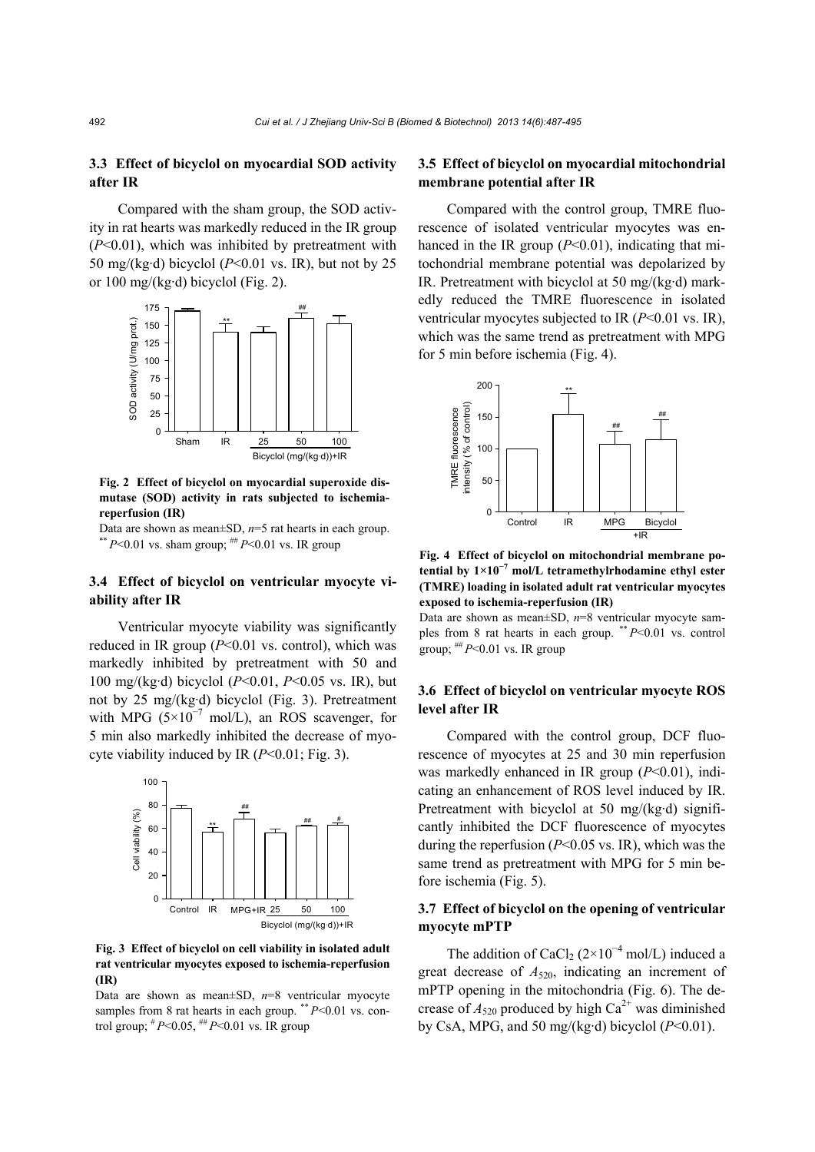# **3.3 Effect of bicyclol on myocardial SOD activity after IR**

Compared with the sham group, the SOD activity in rat hearts was markedly reduced in the IR group (*P*<0.01), which was inhibited by pretreatment with 50 mg/(kg·d) bicyclol (*P*<0.01 vs. IR), but not by 25 or 100 mg/(kg·d) bicyclol (Fig. 2).



**Fig. 2 Effect of bicyclol on myocardial superoxide dismutase (SOD) activity in rats subjected to ischemiareperfusion (IR)**

Data are shown as mean±SD,  $n=5$  rat hearts in each group. \*\*  $P$  <0.01 vs. sham group; ##  $P$  <0.01 vs. IR group

# **3.4 Effect of bicyclol on ventricular myocyte viability after IR**

Ventricular myocyte viability was significantly reduced in IR group  $(P<0.01$  vs. control), which was markedly inhibited by pretreatment with 50 and 100 mg/(kg·d) bicyclol (*P*<0.01, *P*<0.05 vs. IR), but not by 25 mg/(kg·d) bicyclol (Fig. 3). Pretreatment with MPG ( $5\times10^{-7}$  mol/L), an ROS scavenger, for 5 min also markedly inhibited the decrease of myocyte viability induced by IR (*P*<0.01; Fig. 3).



**Fig. 3 Effect of bicyclol on cell viability in isolated adult rat ventricular myocytes exposed to ischemia-reperfusion (IR)**

Data are shown as mean±SD, *n*=8 ventricular myocyte samples from 8 rat hearts in each group. \*\*  $P<0.01$  vs. control group;  $^{\#}P$  < 0.05,  $^{\#}P$  < 0.01 vs. IR group

# **3.5 Effect of bicyclol on myocardial mitochondrial membrane potential after IR**

Compared with the control group, TMRE fluorescence of isolated ventricular myocytes was enhanced in the IR group ( $P<0.01$ ), indicating that mitochondrial membrane potential was depolarized by IR. Pretreatment with bicyclol at 50 mg/(kg·d) markedly reduced the TMRE fluorescence in isolated ventricular myocytes subjected to IR (*P*<0.01 vs. IR), which was the same trend as pretreatment with MPG for 5 min before ischemia (Fig. 4).



**Fig. 4 Effect of bicyclol on mitochondrial membrane potential by 1×10<sup>−</sup><sup>7</sup> mol/L tetramethylrhodamine ethyl ester (TMRE) loading in isolated adult rat ventricular myocytes exposed to ischemia-reperfusion (IR)** 

Data are shown as mean±SD, *n*=8 ventricular myocyte samples from 8 rat hearts in each group. \*\* *P*<0.01 vs. control group;  $H^H P \le 0.01$  vs. IR group

## **3.6 Effect of bicyclol on ventricular myocyte ROS level after IR**

Compared with the control group, DCF fluorescence of myocytes at 25 and 30 min reperfusion was markedly enhanced in IR group (*P*<0.01), indicating an enhancement of ROS level induced by IR. Pretreatment with bicyclol at 50 mg/(kg·d) significantly inhibited the DCF fluorescence of myocytes during the reperfusion (*P*<0.05 vs. IR), which was the same trend as pretreatment with MPG for 5 min before ischemia (Fig. 5).

## **3.7 Effect of bicyclol on the opening of ventricular myocyte mPTP**

The addition of CaCl<sub>2</sub> ( $2 \times 10^{-4}$  mol/L) induced a great decrease of *A*520, indicating an increment of mPTP opening in the mitochondria (Fig. 6). The decrease of  $A_{520}$  produced by high Ca<sup>2+</sup> was diminished by CsA, MPG, and 50 mg/(kg·d) bicyclol  $(P<0.01)$ .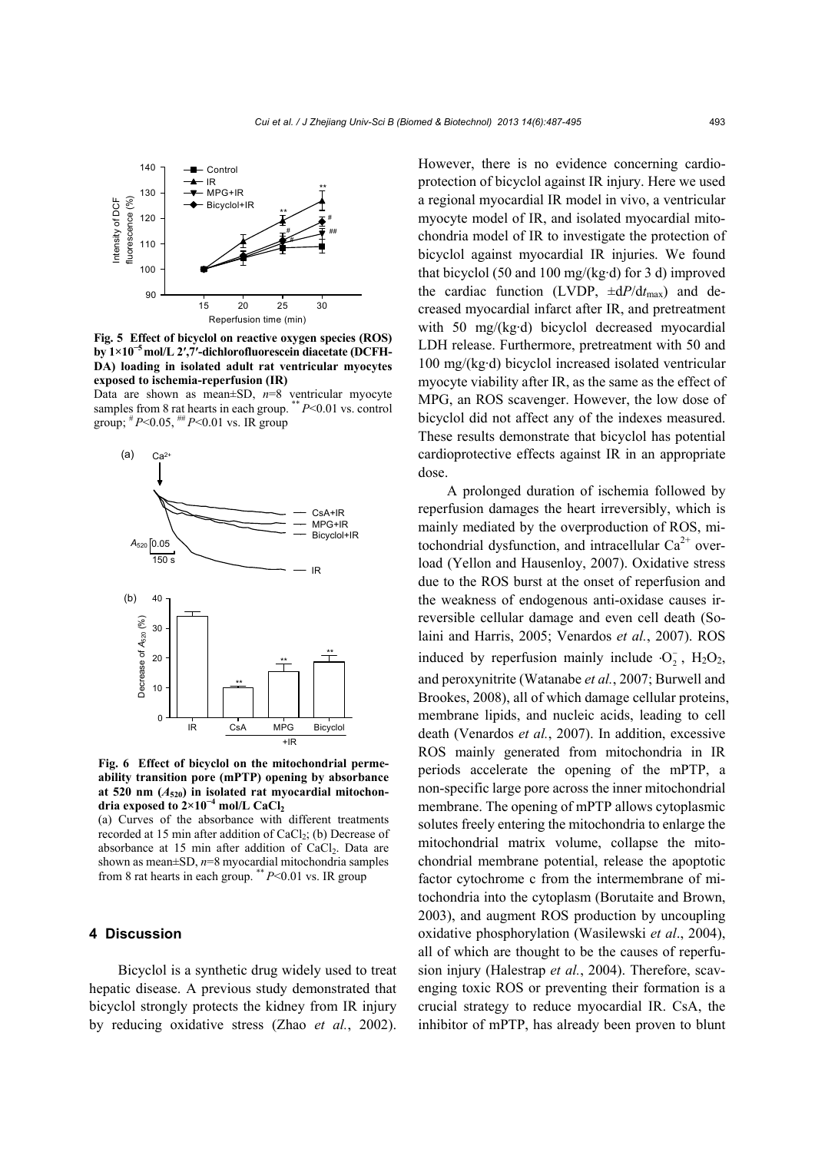

**Fig. 5 Effect of bicyclol on reactive oxygen species (ROS) by 1×10<sup>−</sup>5mol/L 2′,7′-dichlorofluorescein diacetate (DCFH-DA) loading in isolated adult rat ventricular myocytes exposed to ischemia-reperfusion (IR)** 

Data are shown as mean±SD, *n*=8 ventricular myocyte samples from 8 rat hearts in each group. \*\* *P*<0.01 vs. control group;  $^{#}P<0.05$ ,  $^{#}P<0.01$  vs. IR group



**Fig. 6 Effect of bicyclol on the mitochondrial permeability transition pore (mPTP) opening by absorbance at 520 nm (***A***520) in isolated rat myocardial mitochondria exposed to 2×10<sup>−</sup><sup>4</sup> mol/L CaCl2**

(a) Curves of the absorbance with different treatments recorded at 15 min after addition of  $CaCl<sub>2</sub>$ ; (b) Decrease of absorbance at 15 min after addition of CaCl<sub>2</sub>. Data are shown as mean±SD, *n*=8 myocardial mitochondria samples from 8 rat hearts in each group. \*\* *P*<0.01 vs. IR group

## **4 Discussion**

Bicyclol is a synthetic drug widely used to treat hepatic disease. A previous study demonstrated that bicyclol strongly protects the kidney from IR injury by reducing oxidative stress (Zhao *et al.*, 2002). However, there is no evidence concerning cardioprotection of bicyclol against IR injury. Here we used a regional myocardial IR model in vivo, a ventricular myocyte model of IR, and isolated myocardial mitochondria model of IR to investigate the protection of bicyclol against myocardial IR injuries. We found that bicyclol (50 and 100 mg/(kg·d) for 3 d) improved the cardiac function (LVDP, ±d*P*/d*t*max) and decreased myocardial infarct after IR, and pretreatment with 50 mg/(kg·d) bicyclol decreased myocardial LDH release. Furthermore, pretreatment with 50 and 100 mg/(kg·d) bicyclol increased isolated ventricular myocyte viability after IR, as the same as the effect of MPG, an ROS scavenger. However, the low dose of bicyclol did not affect any of the indexes measured. These results demonstrate that bicyclol has potential cardioprotective effects against IR in an appropriate dose.

A prolonged duration of ischemia followed by reperfusion damages the heart irreversibly, which is mainly mediated by the overproduction of ROS, mitochondrial dysfunction, and intracellular  $Ca^{2+}$  overload (Yellon and Hausenloy, 2007). Oxidative stress due to the ROS burst at the onset of reperfusion and the weakness of endogenous anti-oxidase causes irreversible cellular damage and even cell death (Solaini and Harris, 2005; Venardos *et al.*, 2007). ROS induced by reperfusion mainly include  $O_2$ ,  $H_2O_2$ , and peroxynitrite (Watanabe *et al.*, 2007; Burwell and Brookes, 2008), all of which damage cellular proteins, membrane lipids, and nucleic acids, leading to cell death (Venardos *et al.*, 2007). In addition, excessive ROS mainly generated from mitochondria in IR periods accelerate the opening of the mPTP, a non-specific large pore across the inner mitochondrial membrane. The opening of mPTP allows cytoplasmic solutes freely entering the mitochondria to enlarge the mitochondrial matrix volume, collapse the mitochondrial membrane potential, release the apoptotic factor cytochrome c from the intermembrane of mitochondria into the cytoplasm (Borutaite and Brown, 2003), and augment ROS production by uncoupling oxidative phosphorylation (Wasilewski *et al*., 2004), all of which are thought to be the causes of reperfusion injury (Halestrap *et al.*, 2004). Therefore, scavenging toxic ROS or preventing their formation is a crucial strategy to reduce myocardial IR. CsA, the inhibitor of mPTP, has already been proven to blunt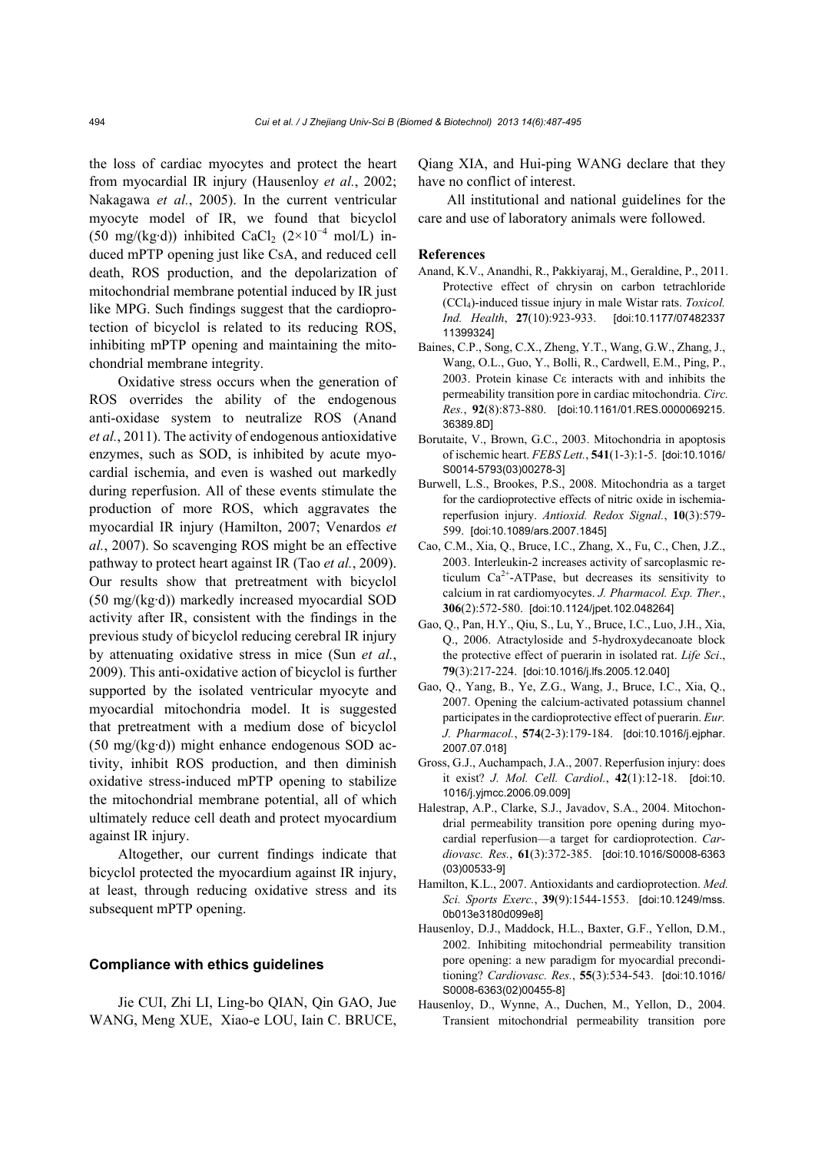the loss of cardiac myocytes and protect the heart from myocardial IR injury (Hausenloy *et al.*, 2002; Nakagawa *et al.*, 2005). In the current ventricular myocyte model of IR, we found that bicyclol (50 mg/(kg·d)) inhibited CaCl<sub>2</sub> (2×10<sup>-4</sup> mol/L) induced mPTP opening just like CsA, and reduced cell death, ROS production, and the depolarization of mitochondrial membrane potential induced by IR just like MPG. Such findings suggest that the cardioprotection of bicyclol is related to its reducing ROS, inhibiting mPTP opening and maintaining the mitochondrial membrane integrity.

Oxidative stress occurs when the generation of ROS overrides the ability of the endogenous anti-oxidase system to neutralize ROS (Anand *et al.*, 2011). The activity of endogenous antioxidative enzymes, such as SOD, is inhibited by acute myocardial ischemia, and even is washed out markedly during reperfusion. All of these events stimulate the production of more ROS, which aggravates the myocardial IR injury (Hamilton, 2007; Venardos *et al.*, 2007). So scavenging ROS might be an effective pathway to protect heart against IR (Tao *et al.*, 2009). Our results show that pretreatment with bicyclol (50 mg/(kg·d)) markedly increased myocardial SOD activity after IR, consistent with the findings in the previous study of bicyclol reducing cerebral IR injury by attenuating oxidative stress in mice (Sun *et al.*, 2009). This anti-oxidative action of bicyclol is further supported by the isolated ventricular myocyte and myocardial mitochondria model. It is suggested that pretreatment with a medium dose of bicyclol (50 mg/(kg·d)) might enhance endogenous SOD activity, inhibit ROS production, and then diminish oxidative stress-induced mPTP opening to stabilize the mitochondrial membrane potential, all of which ultimately reduce cell death and protect myocardium against IR injury.

Altogether, our current findings indicate that bicyclol protected the myocardium against IR injury, at least, through reducing oxidative stress and its subsequent mPTP opening.

## **Compliance with ethics guidelines**

Jie CUI, Zhi LI, Ling-bo QIAN, Qin GAO, Jue WANG, Meng XUE, Xiao-e LOU, Iain C. BRUCE, Qiang XIA, and Hui-ping WANG declare that they have no conflict of interest.

All institutional and national guidelines for the care and use of laboratory animals were followed.

#### **References**

- Anand, K.V., Anandhi, R., Pakkiyaraj, M., Geraldine, P., 2011. Protective effect of chrysin on carbon tetrachloride (CCl4)-induced tissue injury in male Wistar rats. *Toxicol. Ind. Health*, **27**(10):923-933. [doi:10.1177/07482337 11399324]
- Baines, C.P., Song, C.X., Zheng, Y.T., Wang, G.W., Zhang, J., Wang, O.L., Guo, Y., Bolli, R., Cardwell, E.M., Ping, P., 2003. Protein kinase Cε interacts with and inhibits the permeability transition pore in cardiac mitochondria. *Circ. Res.*, **92**(8):873-880. [doi:10.1161/01.RES.0000069215. 36389.8D]
- Borutaite, V., Brown, G.C., 2003. Mitochondria in apoptosis of ischemic heart. *FEBS Lett.*, **541**(1-3):1-5. [doi:10.1016/ S0014-5793(03)00278-3]
- Burwell, L.S., Brookes, P.S., 2008. Mitochondria as a target for the cardioprotective effects of nitric oxide in ischemiareperfusion injury. *Antioxid. Redox Signal.*, **10**(3):579- 599. [doi:10.1089/ars.2007.1845]
- Cao, C.M., Xia, Q., Bruce, I.C., Zhang, X., Fu, C., Chen, J.Z., 2003. Interleukin-2 increases activity of sarcoplasmic reticulum  $Ca^{2+}$ -ATPase, but decreases its sensitivity to calcium in rat cardiomyocytes. *J. Pharmacol. Exp. Ther.*, **306**(2):572-580. [doi:10.1124/jpet.102.048264]
- Gao, Q., Pan, H.Y., Qiu, S., Lu, Y., Bruce, I.C., Luo, J.H., Xia, Q., 2006. Atractyloside and 5-hydroxydecanoate block the protective effect of puerarin in isolated rat. *Life Sci*., **79**(3):217-224. [doi:10.1016/j.lfs.2005.12.040]
- Gao, Q., Yang, B., Ye, Z.G., Wang, J., Bruce, I.C., Xia, Q., 2007. Opening the calcium-activated potassium channel participates in the cardioprotective effect of puerarin. *Eur. J. Pharmacol.*, **574**(2-3):179-184. [doi:10.1016/j.ejphar. 2007.07.018]
- Gross, G.J., Auchampach, J.A., 2007. Reperfusion injury: does it exist? *J. Mol. Cell. Cardiol.*, **42**(1):12-18. [doi:10. 1016/j.yjmcc.2006.09.009]
- Halestrap, A.P., Clarke, S.J., Javadov, S.A., 2004. Mitochondrial permeability transition pore opening during myocardial reperfusion—a target for cardioprotection. *Cardiovasc. Res.*, **61**(3):372-385. [doi:10.1016/S0008-6363 (03)00533-9]
- Hamilton, K.L., 2007. Antioxidants and cardioprotection. *Med. Sci. Sports Exerc.*, **39**(9):1544-1553. [doi:10.1249/mss. 0b013e3180d099e8]
- Hausenloy, D.J., Maddock, H.L., Baxter, G.F., Yellon, D.M., 2002. Inhibiting mitochondrial permeability transition pore opening: a new paradigm for myocardial preconditioning? *Cardiovasc. Res.*, **55**(3):534-543. [doi:10.1016/ S0008-6363(02)00455-8]
- Hausenloy, D., Wynne, A., Duchen, M., Yellon, D., 2004. Transient mitochondrial permeability transition pore